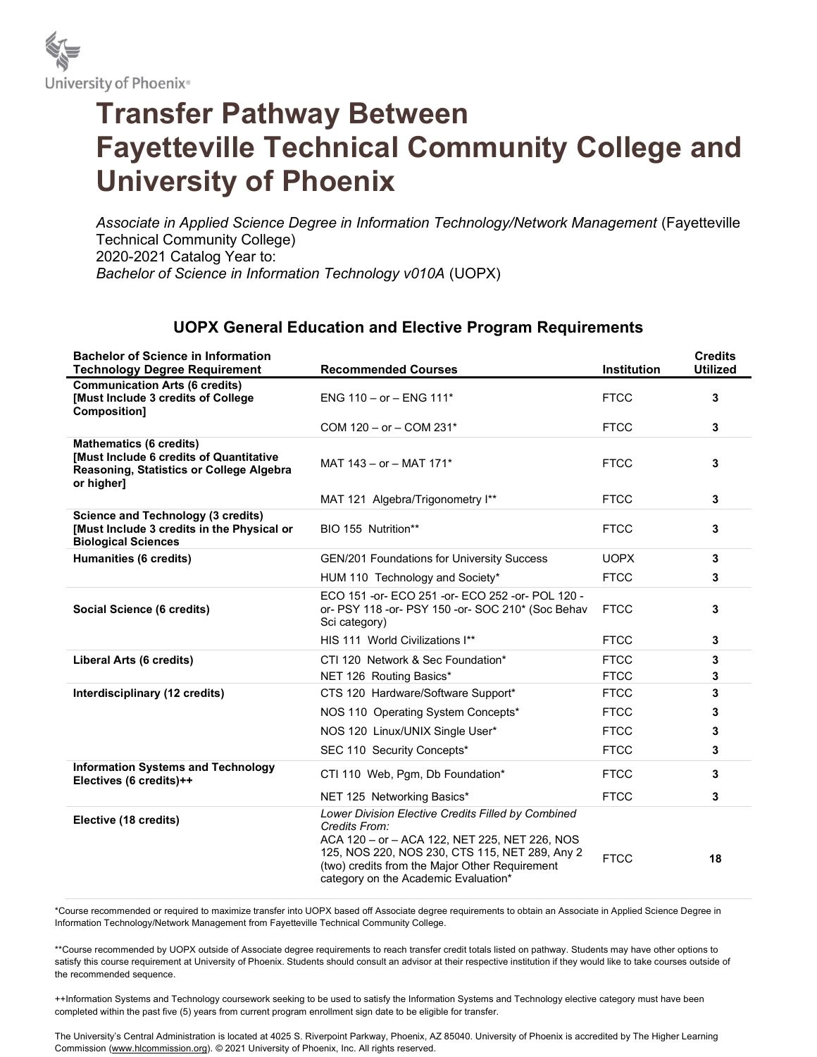

## Transfer Pathway Between Fayetteville Technical Community College and University of Phoenix

Associate in Applied Science Degree in Information Technology/Network Management (Fayetteville Technical Community College) 2020-2021 Catalog Year to: Bachelor of Science in Information Technology v010A (UOPX)

## UOPX General Education and Elective Program Requirements

| <b>Bachelor of Science in Information</b><br><b>Technology Degree Requirement</b>                                                   | <b>Recommended Courses</b>                                                                                                                                                                                                                                       | <b>Institution</b> | <b>Credits</b><br><b>Utilized</b> |
|-------------------------------------------------------------------------------------------------------------------------------------|------------------------------------------------------------------------------------------------------------------------------------------------------------------------------------------------------------------------------------------------------------------|--------------------|-----------------------------------|
| <b>Communication Arts (6 credits)</b><br>[Must Include 3 credits of College<br>Composition]                                         | ENG $110 - or - ENG 111*$                                                                                                                                                                                                                                        | <b>FTCC</b>        | 3                                 |
|                                                                                                                                     | COM $120 - or - COM 231*$                                                                                                                                                                                                                                        | <b>FTCC</b>        | 3                                 |
| <b>Mathematics (6 credits)</b><br>[Must Include 6 credits of Quantitative<br>Reasoning, Statistics or College Algebra<br>or higher] | MAT $143 - or - MAT 171*$                                                                                                                                                                                                                                        | <b>FTCC</b>        | 3                                 |
|                                                                                                                                     | MAT 121 Algebra/Trigonometry I**                                                                                                                                                                                                                                 | <b>FTCC</b>        | 3                                 |
| <b>Science and Technology (3 credits)</b><br>[Must Include 3 credits in the Physical or<br><b>Biological Sciences</b>               | BIO 155 Nutrition**                                                                                                                                                                                                                                              | <b>FTCC</b>        | 3                                 |
| <b>Humanities (6 credits)</b>                                                                                                       | <b>GEN/201 Foundations for University Success</b>                                                                                                                                                                                                                | <b>UOPX</b>        | 3                                 |
|                                                                                                                                     | HUM 110 Technology and Society*                                                                                                                                                                                                                                  | <b>FTCC</b>        | 3                                 |
| Social Science (6 credits)                                                                                                          | ECO 151 -or- ECO 251 -or- ECO 252 -or- POL 120 -<br>or- PSY 118 -or- PSY 150 -or- SOC 210* (Soc Behav<br>Sci category)                                                                                                                                           | <b>FTCC</b>        | 3                                 |
|                                                                                                                                     | HIS 111 World Civilizations I**                                                                                                                                                                                                                                  | <b>FTCC</b>        | 3                                 |
| Liberal Arts (6 credits)                                                                                                            | CTI 120 Network & Sec Foundation*                                                                                                                                                                                                                                | <b>FTCC</b>        | 3                                 |
|                                                                                                                                     | NET 126 Routing Basics*                                                                                                                                                                                                                                          | <b>FTCC</b>        | 3                                 |
| Interdisciplinary (12 credits)                                                                                                      | CTS 120 Hardware/Software Support*                                                                                                                                                                                                                               | <b>FTCC</b>        | 3                                 |
|                                                                                                                                     | NOS 110 Operating System Concepts*                                                                                                                                                                                                                               | <b>FTCC</b>        | 3                                 |
|                                                                                                                                     | NOS 120 Linux/UNIX Single User*                                                                                                                                                                                                                                  | <b>FTCC</b>        | 3                                 |
|                                                                                                                                     | SEC 110 Security Concepts*                                                                                                                                                                                                                                       | <b>FTCC</b>        | 3                                 |
| <b>Information Systems and Technology</b><br>Electives (6 credits)++                                                                | CTI 110 Web, Pqm, Db Foundation*                                                                                                                                                                                                                                 | <b>FTCC</b>        | 3                                 |
|                                                                                                                                     | NET 125 Networking Basics*                                                                                                                                                                                                                                       | <b>FTCC</b>        | 3                                 |
| Elective (18 credits)                                                                                                               | Lower Division Elective Credits Filled by Combined<br>Credits From:<br>ACA 120 - or - ACA 122, NET 225, NET 226, NOS<br>125, NOS 220, NOS 230, CTS 115, NET 289, Any 2<br>(two) credits from the Major Other Requirement<br>category on the Academic Evaluation* | <b>FTCC</b>        | 18                                |

\*Course recommended or required to maximize transfer into UOPX based off Associate degree requirements to obtain an Associate in Applied Science Degree in Information Technology/Network Management from Fayetteville Technical Community College.

\*\*Course recommended by UOPX outside of Associate degree requirements to reach transfer credit totals listed on pathway. Students may have other options to satisfy this course requirement at University of Phoenix. Students should consult an advisor at their respective institution if they would like to take courses outside of the recommended sequence.

++Information Systems and Technology coursework seeking to be used to satisfy the Information Systems and Technology elective category must have been completed within the past five (5) years from current program enrollment sign date to be eligible for transfer.

The University's Central Administration is located at 4025 S. Riverpoint Parkway, Phoenix, AZ 85040. University of Phoenix is accredited by The Higher Learning Commission (www.hlcommission.org). © 2021 University of Phoenix, Inc. All rights reserved.